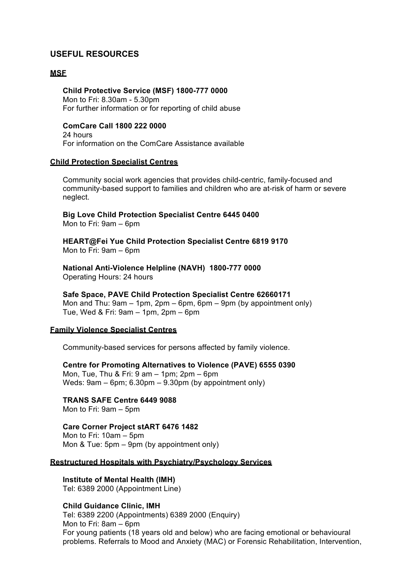# **USEFUL RESOURCES**

## **MSF**

**Child Protective Service (MSF) 1800-777 0000** Mon to Fri: 8.30am - 5.30pm For further information or for reporting of child abuse

**ComCare Call 1800 222 0000** 24 hours For information on the ComCare Assistance available

## **Child Protection Specialist Centres**

Community social work agencies that provides child-centric, family-focused and community-based support to families and children who are at-risk of harm or severe neglect.

**Big Love Child Protection Specialist Centre 6445 0400** Mon to Fri: 9am – 6pm

**HEART@Fei Yue Child Protection Specialist Centre 6819 9170** Mon to Fri: 9am – 6pm

**National Anti-Violence Helpline (NAVH) 1800-777 0000** Operating Hours: 24 hours

**Safe Space, PAVE Child Protection Specialist Centre 62660171** Mon and Thu: 9am – 1pm, 2pm – 6pm, 6pm – 9pm (by appointment only) Tue, Wed & Fri: 9am – 1pm, 2pm – 6pm

### **Family Violence Specialist Centres**

Community-based services for persons affected by family violence.

**Centre for Promoting Alternatives to Violence (PAVE) 6555 0390** Mon, Tue, Thu & Fri: 9 am – 1pm; 2pm – 6pm Weds: 9am – 6pm; 6.30pm – 9.30pm (by appointment only)

**TRANS SAFE Centre 6449 9088**

Mon to Fri: 9am – 5pm

**Care Corner Project stART 6476 1482** Mon to Fri: 10am – 5pm Mon & Tue: 5pm – 9pm (by appointment only)

## **Restructured Hospitals with Psychiatry/Psychology Services**

**Institute of Mental Health (IMH)** Tel: 6389 2000 (Appointment Line)

### **Child Guidance Clinic, IMH**

Tel: 6389 2200 (Appointments) 6389 2000 (Enquiry) Mon to Fri: 8am – 6pm For young patients (18 years old and below) who are facing emotional or behavioural problems. Referrals to Mood and Anxiety (MAC) or Forensic Rehabilitation, Intervention,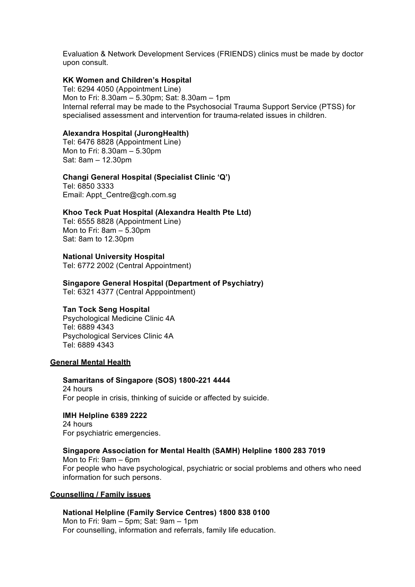Evaluation & Network Development Services (FRIENDS) clinics must be made by doctor upon consult.

# **KK Women and Children's Hospital**

Tel: 6294 4050 (Appointment Line) Mon to Fri: 8.30am – 5.30pm; Sat: 8.30am – 1pm Internal referral may be made to the Psychosocial Trauma Support Service (PTSS) for specialised assessment and intervention for trauma-related issues in children.

#### **Alexandra Hospital (JurongHealth)**

Tel: 6476 8828 (Appointment Line) Mon to Fri: 8.30am – 5.30pm Sat: 8am – 12.30pm

#### **Changi General Hospital (Specialist Clinic 'Q')**

Tel: 6850 3333 Email: Appt\_Centre@cgh.com.sg

### **Khoo Teck Puat Hospital (Alexandra Health Pte Ltd)**

Tel: 6555 8828 (Appointment Line) Mon to Fri: 8am – 5.30pm Sat: 8am to 12.30pm

# **National University Hospital**

Tel: 6772 2002 (Central Appointment)

### **Singapore General Hospital (Department of Psychiatry)**

Tel: 6321 4377 (Central Apppointment)

#### **Tan Tock Seng Hospital**

Psychological Medicine Clinic 4A Tel: 6889 4343 Psychological Services Clinic 4A Tel: 6889 4343

#### **General Mental Health**

# **Samaritans of Singapore (SOS) 1800-221 4444**

24 hours For people in crisis, thinking of suicide or affected by suicide.

#### **IMH Helpline 6389 2222**

24 hours For psychiatric emergencies.

#### **Singapore Association for Mental Health (SAMH) Helpline 1800 283 7019**

Mon to Fri: 9am – 6pm For people who have psychological, psychiatric or social problems and others who need information for such persons.

#### **Counselling / Family issues**

**National Helpline (Family Service Centres) 1800 838 0100** Mon to Fri: 9am – 5pm; Sat: 9am – 1pm For counselling, information and referrals, family life education.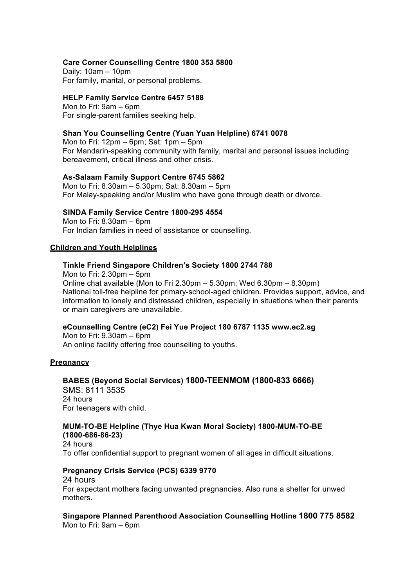# **Care Corner Counselling Centre 1800 353 5800**

Daily: 10am – 10pm For family, marital, or personal problems.

## **HELP Family Service Centre 6457 5188**

Mon to Fri: 9am – 6pm For single-parent families seeking help.

# **Shan You Counselling Centre (Yuan Yuan Helpline) 6741 0078**

Mon to Fri: 12pm – 6pm; Sat: 1pm – 5pm For Mandarin-speaking community with family, marital and personal issues including bereavement, critical illness and other crisis.

# **As-Salaam Family Support Centre 6745 5862**

Mon to Fri: 8.30am – 5.30pm; Sat: 8.30am – 5pm For Malay-speaking and/or Muslim who have gone through death or divorce.

# **SINDA Family Service Centre 1800-295 4554**

Mon to Fri: 8.30am – 6pm For Indian families in need of assistance or counselling.

### **Children and Youth Helplines**

# **Tinkle Friend Singapore Children's Society 1800 2744 788**

Mon to Fri: 2.30pm – 5pm Online chat available (Mon to Fri 2.30pm – 5.30pm; Wed 6.30pm – 8.30pm) National toll-free helpline for primary-school-aged children. Provides support, advice, and information to lonely and distressed children, especially in situations when their parents or main caregivers are unavailable.

**eCounselling Centre (eC2) Fei Yue Project 180 6787 1135 www.ec2.sg**

Mon to Fri: 9.30am – 6pm An online facility offering free counselling to youths.

### **Pregnancy**

**BABES (Beyond Social Services) 1800-TEENMOM (1800-833 6666)** SMS: 8111 3535 24 hours For teenagers with child.

# **MUM-TO-BE Helpline (Thye Hua Kwan Moral Society) 1800-MUM-TO-BE (1800-686-86-23)**

24 hours To offer confidential support to pregnant women of all ages in difficult situations.

### **Pregnancy Crisis Service (PCS) 6339 9770**

24 hours

For expectant mothers facing unwanted pregnancies. Also runs a shelter for unwed mothers.

**Singapore Planned Parenthood Association Counselling Hotline 1800 775 8582** Mon to Fri: 9am – 6pm